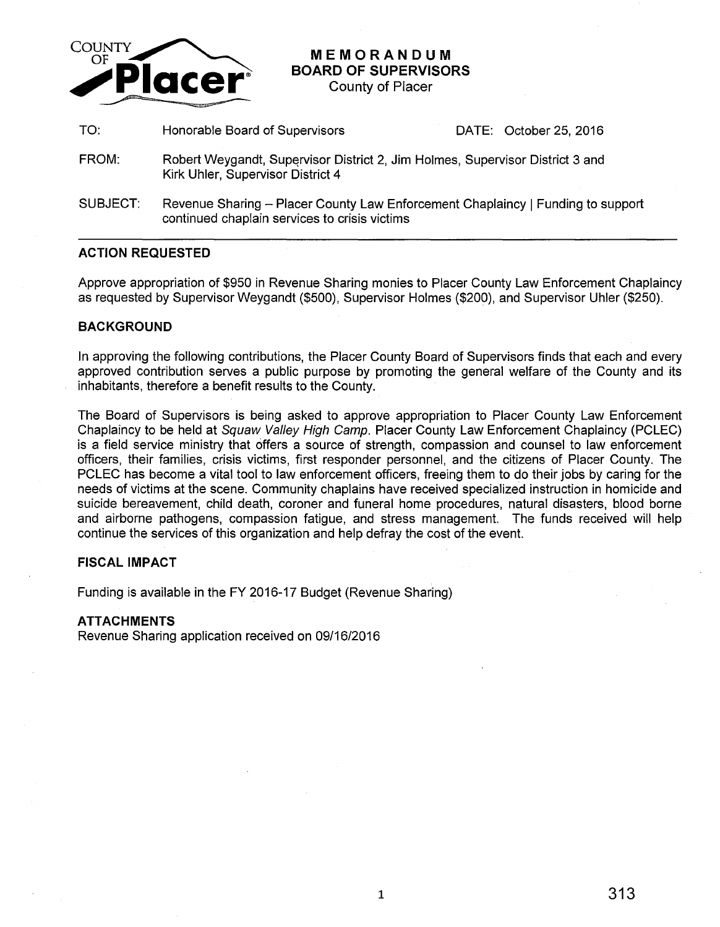

# **MEMORANDUM BOARD OF SUPERVISORS**

County of Placer

TO: Honorable Board of Supervisors DATE: October 25, 2016

- FROM: Robert Weygandt, Supervisor District 2, Jim Holmes, Supervisor District 3 and Kirk Uhler, Supervisor District 4
- SUBJECT: Revenue Sharing Placer County Law Enforcement Chaplaincy | Funding to support continued chaplain services to crisis victims

# **ACTION REQUESTED**

Approve appropriation of \$950 in Revenue Sharing monies to Placer County Law Enforcement Chaplaincy as requested by Supervisor Weygandt (\$500), Supervisor Holmes (\$200), and Supervisor Uhler (\$250).

### **BACKGROUND**

In approving the following contributions, the Placer County Board of Supervisors finds that each and every approved contribution serves a public purpose by promoting the general welfare of the County and its inhabitants, therefore a benefit results to the County.

The Board of Supervisors is being asked to approve appropriation to Placer County Law Enforcement Chaplaincy to be held at Squaw Valley High Camp. Placer County Law Enforcement Chaplaincy (PCLEC) is a field service ministry that offers a source of strength, compassion and counsel to law enforcement officers, their families, crisis victims, first responder personnel, and the citizens of Placer County. The PCLEC has become a vital tool to law enforcement officers, freeing them to do their jobs by caring for the needs of victims at the scene. Community chaplains have received specialized instruction in homicide and suicide bereavement, child death, coroner and funeral home procedures, natural disasters, blood borne and airborne pathogens, compassion fatigue, and stress management. The funds received will help continue the services of this organization and help defray the cost of the event.

#### **FISCAL IMPACT**

Funding is available in the FY 2016-17 Budget (Revenue Sharing)

# **ATTACHMENTS**

Revenue Sharing application received on 09/16/2016